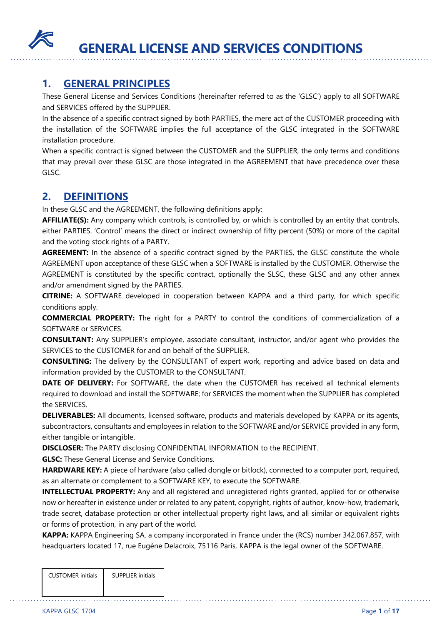

# **1. GENERAL PRINCIPLES**

These General License and Services Conditions (hereinafter referred to as the 'GLSC') apply to all SOFTWARE and SERVICES offered by the SUPPLIER.

In the absence of a specific contract signed by both PARTIES, the mere act of the CUSTOMER proceeding with the installation of the SOFTWARE implies the full acceptance of the GLSC integrated in the SOFTWARE installation procedure.

When a specific contract is signed between the CUSTOMER and the SUPPLIER, the only terms and conditions that may prevail over these GLSC are those integrated in the AGREEMENT that have precedence over these GLSC.

# **2. DEFINITIONS**

In these GLSC and the AGREEMENT, the following definitions apply:

**AFFILIATE(S):** Any company which controls, is controlled by, or which is controlled by an entity that controls, either PARTIES. 'Control' means the direct or indirect ownership of fifty percent (50%) or more of the capital and the voting stock rights of a PARTY.

AGREEMENT: In the absence of a specific contract signed by the PARTIES, the GLSC constitute the whole AGREEMENT upon acceptance of these GLSC when a SOFTWARE is installed by the CUSTOMER. Otherwise the AGREEMENT is constituted by the specific contract, optionally the SLSC, these GLSC and any other annex and/or amendment signed by the PARTIES.

**CITRINE:** A SOFTWARE developed in cooperation between KAPPA and a third party, for which specific conditions apply.

**COMMERCIAL PROPERTY:** The right for a PARTY to control the conditions of commercialization of a SOFTWARE or SERVICES.

**CONSULTANT:** Any SUPPLIER's employee, associate consultant, instructor, and/or agent who provides the SERVICES to the CUSTOMER for and on behalf of the SUPPLIER.

**CONSULTING:** The delivery by the CONSULTANT of expert work, reporting and advice based on data and information provided by the CUSTOMER to the CONSULTANT.

**DATE OF DELIVERY:** For SOFTWARE, the date when the CUSTOMER has received all technical elements required to download and install the SOFTWARE; for SERVICES the moment when the SUPPLIER has completed the SERVICES.

**DELIVERABLES:** All documents, licensed software, products and materials developed by KAPPA or its agents, subcontractors, consultants and employees in relation to the SOFTWARE and/or SERVICE provided in any form, either tangible or intangible.

**DISCLOSER:** The PARTY disclosing CONFIDENTIAL INFORMATION to the RECIPIENT.

**GLSC:** These General License and Service Conditions.

**HARDWARE KEY:** A piece of hardware (also called dongle or bitlock), connected to a computer port, required, as an alternate or complement to a SOFTWARE KEY, to execute the SOFTWARE.

**INTELLECTUAL PROPERTY:** Any and all registered and unregistered rights granted, applied for or otherwise now or hereafter in existence under or related to any patent, copyright, rights of author, know-how, trademark, trade secret, database protection or other intellectual property right laws, and all similar or equivalent rights or forms of protection, in any part of the world.

**KAPPA:** KAPPA Engineering SA, a company incorporated in France under the (RCS) number 342.067.857, with headquarters located 17, rue Eugène Delacroix, 75116 Paris. KAPPA is the legal owner of the SOFTWARE.

| <b>CUSTOMER</b> initials | <b>SUPPLIER initials</b> |
|--------------------------|--------------------------|
|                          |                          |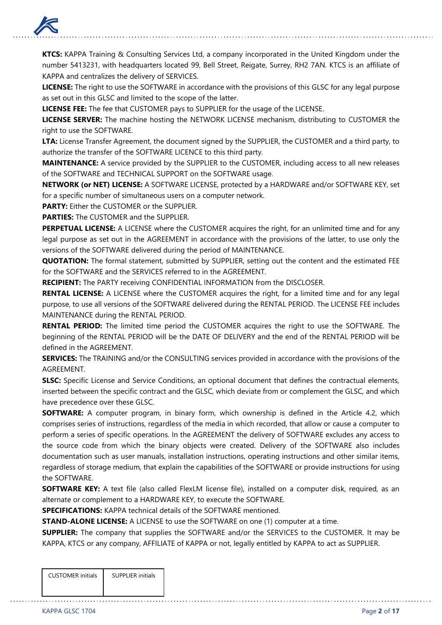

**KTCS:** KAPPA Training & Consulting Services Ltd, a company incorporated in the United Kingdom under the number 5413231, with headquarters located 99, Bell Street, Reigate, Surrey, RH2 7AN. KTCS is an affiliate of KAPPA and centralizes the delivery of SERVICES.

**LICENSE:** The right to use the SOFTWARE in accordance with the provisions of this GLSC for any legal purpose as set out in this GLSC and limited to the scope of the latter.

**LICENSE FEE:** The fee that CUSTOMER pays to SUPPLIER for the usage of the LICENSE.

**LICENSE SERVER:** The machine hosting the NETWORK LICENSE mechanism, distributing to CUSTOMER the right to use the SOFTWARE.

**LTA:** License Transfer Agreement, the document signed by the SUPPLIER, the CUSTOMER and a third party, to authorize the transfer of the SOFTWARE LICENCE to this third party.

**MAINTENANCE:** A service provided by the SUPPLIER to the CUSTOMER, including access to all new releases of the SOFTWARE and TECHNICAL SUPPORT on the SOFTWARE usage.

**NETWORK (or NET) LICENSE:** A SOFTWARE LICENSE, protected by a HARDWARE and/or SOFTWARE KEY, set for a specific number of simultaneous users on a computer network.

**PARTY:** Either the CUSTOMER or the SUPPLIER.

**PARTIES:** The CUSTOMER and the SUPPLIER

**PERPETUAL LICENSE:** A LICENSE where the CUSTOMER acquires the right, for an unlimited time and for any legal purpose as set out in the AGREEMENT in accordance with the provisions of the latter, to use only the versions of the SOFTWARE delivered during the period of MAINTENANCE.

**QUOTATION:** The formal statement, submitted by SUPPLIER, setting out the content and the estimated FEE for the SOFTWARE and the SERVICES referred to in the AGREEMENT.

**RECIPIENT:** The PARTY receiving CONFIDENTIAL INFORMATION from the DISCLOSER.

**RENTAL LICENSE:** A LICENSE where the CUSTOMER acquires the right, for a limited time and for any legal purpose, to use all versions of the SOFTWARE delivered during the RENTAL PERIOD. The LICENSE FEE includes MAINTENANCE during the RENTAL PERIOD.

**RENTAL PERIOD:** The limited time period the CUSTOMER acquires the right to use the SOFTWARE. The beginning of the RENTAL PERIOD will be the DATE OF DELIVERY and the end of the RENTAL PERIOD will be defined in the AGREEMENT.

**SERVICES:** The TRAINING and/or the CONSULTING services provided in accordance with the provisions of the AGREEMENT.

**SLSC:** Specific License and Service Conditions, an optional document that defines the contractual elements, inserted between the specific contract and the GLSC, which deviate from or complement the GLSC, and which have precedence over these GLSC.

**SOFTWARE:** A computer program, in binary form, which ownership is defined in the Article 4.2, which comprises series of instructions, regardless of the media in which recorded, that allow or cause a computer to perform a series of specific operations. In the AGREEMENT the delivery of SOFTWARE excludes any access to the source code from which the binary objects were created. Delivery of the SOFTWARE also includes documentation such as user manuals, installation instructions, operating instructions and other similar items, regardless of storage medium, that explain the capabilities of the SOFTWARE or provide instructions for using the SOFTWARE.

**SOFTWARE KEY:** A text file (also called FlexLM license file), installed on a computer disk, required, as an alternate or complement to a HARDWARE KEY, to execute the SOFTWARE.

**SPECIFICATIONS:** KAPPA technical details of the SOFTWARE mentioned.

**STAND-ALONE LICENSE:** A LICENSE to use the SOFTWARE on one (1) computer at a time.

**SUPPLIER:** The company that supplies the SOFTWARE and/or the SERVICES to the CUSTOMER. It may be KAPPA, KTCS or any company, AFFILIATE of KAPPA or not, legally entitled by KAPPA to act as SUPPLIER.

| <b>CUSTOMER</b> initials | <b>SUPPLIER initials</b> |
|--------------------------|--------------------------|
|                          |                          |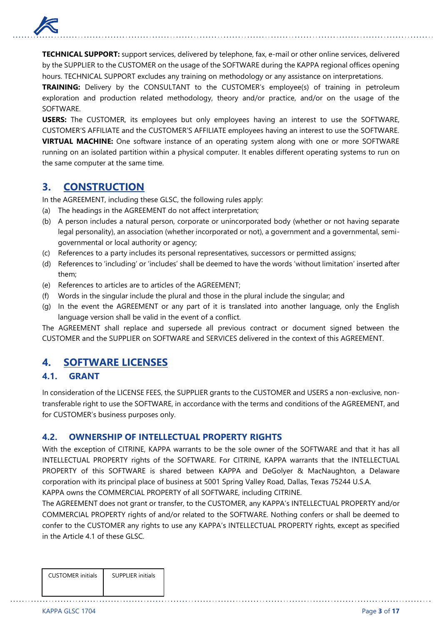

**TECHNICAL SUPPORT:** support services, delivered by telephone, fax, e-mail or other online services, delivered by the SUPPLIER to the CUSTOMER on the usage of the SOFTWARE during the KAPPA regional offices opening hours. TECHNICAL SUPPORT excludes any training on methodology or any assistance on interpretations.

**TRAINING:** Delivery by the CONSULTANT to the CUSTOMER's employee(s) of training in petroleum exploration and production related methodology, theory and/or practice, and/or on the usage of the SOFTWARE.

**USERS:** The CUSTOMER, its employees but only employees having an interest to use the SOFTWARE, CUSTOMER'S AFFILIATE and the CUSTOMER'S AFFILIATE employees having an interest to use the SOFTWARE. **VIRTUAL MACHINE:** One software instance of an operating system along with one or more SOFTWARE running on an isolated partition within a physical computer. It enables different operating systems to run on the same computer at the same time.

## **3. CONSTRUCTION**

In the AGREEMENT, including these GLSC, the following rules apply:

- (a) The headings in the AGREEMENT do not affect interpretation;
- (b) A person includes a natural person, corporate or unincorporated body (whether or not having separate legal personality), an association (whether incorporated or not), a government and a governmental, semigovernmental or local authority or agency;
- (c) References to a party includes its personal representatives, successors or permitted assigns;
- (d) References to 'including' or 'includes' shall be deemed to have the words 'without limitation' inserted after them;
- (e) References to articles are to articles of the AGREEMENT;
- (f) Words in the singular include the plural and those in the plural include the singular; and
- (g) In the event the AGREEMENT or any part of it is translated into another language, only the English language version shall be valid in the event of a conflict.

The AGREEMENT shall replace and supersede all previous contract or document signed between the CUSTOMER and the SUPPLIER on SOFTWARE and SERVICES delivered in the context of this AGREEMENT.

# **4. SOFTWARE LICENSES**

#### **4.1. GRANT**

In consideration of the LICENSE FEES, the SUPPLIER grants to the CUSTOMER and USERS a non-exclusive, nontransferable right to use the SOFTWARE, in accordance with the terms and conditions of the AGREEMENT, and for CUSTOMER's business purposes only.

### **4.2. OWNERSHIP OF INTELLECTUAL PROPERTY RIGHTS**

With the exception of CITRINE, KAPPA warrants to be the sole owner of the SOFTWARE and that it has all INTELLECTUAL PROPERTY rights of the SOFTWARE. For CITRINE, KAPPA warrants that the INTELLECTUAL PROPERTY of this SOFTWARE is shared between KAPPA and DeGolyer & MacNaughton, a Delaware corporation with its principal place of business at 5001 Spring Valley Road, Dallas, Texas 75244 U.S.A. KAPPA owns the COMMERCIAL PROPERTY of all SOFTWARE, including CITRINE.

The AGREEMENT does not grant or transfer, to the CUSTOMER, any KAPPA's INTELLECTUAL PROPERTY and/or COMMERCIAL PROPERTY rights of and/or related to the SOFTWARE. Nothing confers or shall be deemed to confer to the CUSTOMER any rights to use any KAPPA's INTELLECTUAL PROPERTY rights, except as specified in the Article 4.1 of these GLSC.

| <b>CUSTOMER</b> initials | <b>SUPPLIER initials</b> |
|--------------------------|--------------------------|
|                          |                          |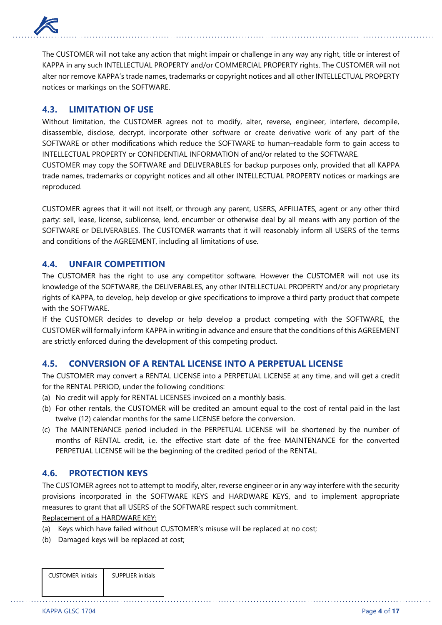

The CUSTOMER will not take any action that might impair or challenge in any way any right, title or interest of KAPPA in any such INTELLECTUAL PROPERTY and/or COMMERCIAL PROPERTY rights. The CUSTOMER will not alter nor remove KAPPA's trade names, trademarks or copyright notices and all other INTELLECTUAL PROPERTY notices or markings on the SOFTWARE.

### **4.3. LIMITATION OF USE**

Without limitation, the CUSTOMER agrees not to modify, alter, reverse, engineer, interfere, decompile, disassemble, disclose, decrypt, incorporate other software or create derivative work of any part of the SOFTWARE or other modifications which reduce the SOFTWARE to human–readable form to gain access to INTELLECTUAL PROPERTY or CONFIDENTIAL INFORMATION of and/or related to the SOFTWARE.

CUSTOMER may copy the SOFTWARE and DELIVERABLES for backup purposes only, provided that all KAPPA trade names, trademarks or copyright notices and all other INTELLECTUAL PROPERTY notices or markings are reproduced.

CUSTOMER agrees that it will not itself, or through any parent, USERS, AFFILIATES, agent or any other third party: sell, lease, license, sublicense, lend, encumber or otherwise deal by all means with any portion of the SOFTWARE or DELIVERABLES. The CUSTOMER warrants that it will reasonably inform all USERS of the terms and conditions of the AGREEMENT, including all limitations of use.

#### **4.4. UNFAIR COMPETITION**

The CUSTOMER has the right to use any competitor software. However the CUSTOMER will not use its knowledge of the SOFTWARE, the DELIVERABLES, any other INTELLECTUAL PROPERTY and/or any proprietary rights of KAPPA, to develop, help develop or give specifications to improve a third party product that compete with the SOFTWARE.

If the CUSTOMER decides to develop or help develop a product competing with the SOFTWARE, the CUSTOMER will formally inform KAPPA in writing in advance and ensure that the conditions of this AGREEMENT are strictly enforced during the development of this competing product.

### **4.5. CONVERSION OF A RENTAL LICENSE INTO A PERPETUAL LICENSE**

The CUSTOMER may convert a RENTAL LICENSE into a PERPETUAL LICENSE at any time, and will get a credit for the RENTAL PERIOD, under the following conditions:

- (a) No credit will apply for RENTAL LICENSES invoiced on a monthly basis.
- (b) For other rentals, the CUSTOMER will be credited an amount equal to the cost of rental paid in the last twelve (12) calendar months for the same LICENSE before the conversion.
- (c) The MAINTENANCE period included in the PERPETUAL LICENSE will be shortened by the number of months of RENTAL credit, i.e. the effective start date of the free MAINTENANCE for the converted PERPETUAL LICENSE will be the beginning of the credited period of the RENTAL.

### **4.6. PROTECTION KEYS**

The CUSTOMER agrees not to attempt to modify, alter, reverse engineer or in any way interfere with the security provisions incorporated in the SOFTWARE KEYS and HARDWARE KEYS, and to implement appropriate measures to grant that all USERS of the SOFTWARE respect such commitment.

Replacement of a HARDWARE KEY:

- (a) Keys which have failed without CUSTOMER's misuse will be replaced at no cost;
- (b) Damaged keys will be replaced at cost;

| <b>CUSTOMER</b> initials | <b>SUPPLIER initials</b> |
|--------------------------|--------------------------|
|                          |                          |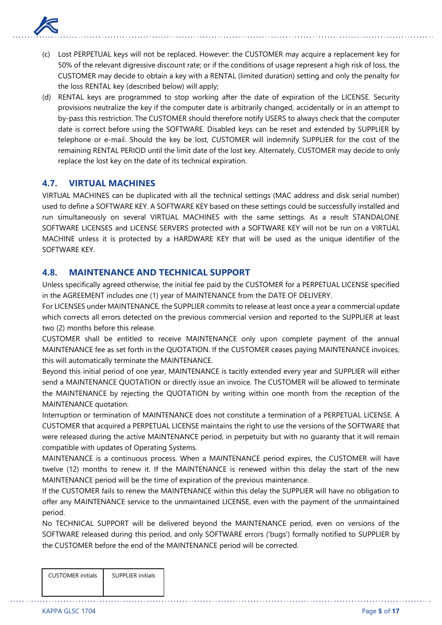

- (c) Lost PERPETUAL keys will not be replaced. However: the CUSTOMER may acquire a replacement key for 50% of the relevant digressive discount rate; or if the conditions of usage represent a high risk of loss, the CUSTOMER may decide to obtain a key with a RENTAL (limited duration) setting and only the penalty for the loss RENTAL key (described below) will apply;
- (d) RENTAL keys are programmed to stop working after the date of expiration of the LICENSE. Security provisions neutralize the key if the computer date is arbitrarily changed, accidentally or in an attempt to by-pass this restriction. The CUSTOMER should therefore notify USERS to always check that the computer date is correct before using the SOFTWARE. Disabled keys can be reset and extended by SUPPLIER by telephone or e-mail. Should the key be lost, CUSTOMER will indemnify SUPPLIER for the cost of the remaining RENTAL PERIOD until the limit date of the lost key. Alternately, CUSTOMER may decide to only replace the lost key on the date of its technical expiration.

### **4.7. VIRTUAL MACHINES**

VIRTUAL MACHINES can be duplicated with all the technical settings (MAC address and disk serial number) used to define a SOFTWARE KEY. A SOFTWARE KEY based on these settings could be successfully installed and run simultaneously on several VIRTUAL MACHINES with the same settings. As a result STANDALONE SOFTWARE LICENSES and LICENSE SERVERS protected with a SOFTWARE KEY will not be run on a VIRTUAL MACHINE unless it is protected by a HARDWARE KEY that will be used as the unique identifier of the SOFTWARE KEY.

### **4.8. MAINTENANCE AND TECHNICAL SUPPORT**

Unless specifically agreed otherwise, the initial fee paid by the CUSTOMER for a PERPETUAL LICENSE specified in the AGREEMENT includes one (1) year of MAINTENANCE from the DATE OF DELIVERY.

For LICENSES under MAINTENANCE, the SUPPLIER commits to release at least once a year a commercial update which corrects all errors detected on the previous commercial version and reported to the SUPPLIER at least two (2) months before this release.

CUSTOMER shall be entitled to receive MAINTENANCE only upon complete payment of the annual MAINTENANCE fee as set forth in the QUOTATION. If the CUSTOMER ceases paying MAINTENANCE invoices, this will automatically terminate the MAINTENANCE.

Beyond this initial period of one year, MAINTENANCE is tacitly extended every year and SUPPLIER will either send a MAINTENANCE QUOTATION or directly issue an invoice. The CUSTOMER will be allowed to terminate the MAINTENANCE by rejecting the QUOTATION by writing within one month from the reception of the MAINTENANCE quotation.

Interruption or termination of MAINTENANCE does not constitute a termination of a PERPETUAL LICENSE. A CUSTOMER that acquired a PERPETUAL LICENSE maintains the right to use the versions of the SOFTWARE that were released during the active MAINTENANCE period, in perpetuity but with no guaranty that it will remain compatible with updates of Operating Systems.

MAINTENANCE is a continuous process. When a MAINTENANCE period expires, the CUSTOMER will have twelve (12) months to renew it. If the MAINTENANCE is renewed within this delay the start of the new MAINTENANCE period will be the time of expiration of the previous maintenance.

If the CUSTOMER fails to renew the MAINTENANCE within this delay the SUPPLIER will have no obligation to offer any MAINTENANCE service to the unmaintained LICENSE, even with the payment of the unmaintained period.

No TECHNICAL SUPPORT will be delivered beyond the MAINTENANCE period, even on versions of the SOFTWARE released during this period, and only SOFTWARE errors ('bugs') formally notified to SUPPLIER by the CUSTOMER before the end of the MAINTENANCE period will be corrected.

| <b>CUSTOMER</b> initials | <b>SUPPLIER initials</b> |
|--------------------------|--------------------------|
|                          |                          |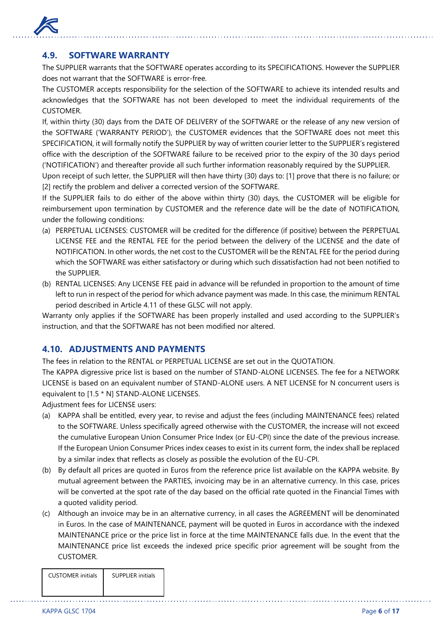

### **4.9. SOFTWARE WARRANTY**

The SUPPLIER warrants that the SOFTWARE operates according to its SPECIFICATIONS. However the SUPPLIER does not warrant that the SOFTWARE is error-free.

The CUSTOMER accepts responsibility for the selection of the SOFTWARE to achieve its intended results and acknowledges that the SOFTWARE has not been developed to meet the individual requirements of the CUSTOMER.

If, within thirty (30) days from the DATE OF DELIVERY of the SOFTWARE or the release of any new version of the SOFTWARE ('WARRANTY PERIOD'), the CUSTOMER evidences that the SOFTWARE does not meet this SPECIFICATION, it will formally notify the SUPPLIER by way of written courier letter to the SUPPLIER's registered office with the description of the SOFTWARE failure to be received prior to the expiry of the 30 days period ('NOTIFICATION') and thereafter provide all such further information reasonably required by the SUPPLIER.

Upon receipt of such letter, the SUPPLIER will then have thirty (30) days to: [1] prove that there is no failure; or [2] rectify the problem and deliver a corrected version of the SOFTWARE.

If the SUPPLIER fails to do either of the above within thirty (30) days, the CUSTOMER will be eligible for reimbursement upon termination by CUSTOMER and the reference date will be the date of NOTIFICATION, under the following conditions:

- (a) PERPETUAL LICENSES: CUSTOMER will be credited for the difference (if positive) between the PERPETUAL LICENSE FEE and the RENTAL FEE for the period between the delivery of the LICENSE and the date of NOTIFICATION. In other words, the net cost to the CUSTOMER will be the RENTAL FEE for the period during which the SOFTWARE was either satisfactory or during which such dissatisfaction had not been notified to the SUPPLIER.
- (b) RENTAL LICENSES: Any LICENSE FEE paid in advance will be refunded in proportion to the amount of time left to run in respect of the period for which advance payment was made. In this case, the minimum RENTAL period described in Article 4.11 of these GLSC will not apply.

Warranty only applies if the SOFTWARE has been properly installed and used according to the SUPPLIER's instruction, and that the SOFTWARE has not been modified nor altered.

### **4.10. ADJUSTMENTS AND PAYMENTS**

The fees in relation to the RENTAL or PERPETUAL LICENSE are set out in the QUOTATION.

The KAPPA digressive price list is based on the number of STAND-ALONE LICENSES. The fee for a NETWORK LICENSE is based on an equivalent number of STAND-ALONE users. A NET LICENSE for N concurrent users is equivalent to [1.5 \* N] STAND-ALONE LICENSES.

Adjustment fees for LICENSE users:

- (a) KAPPA shall be entitled, every year, to revise and adjust the fees (including MAINTENANCE fees) related to the SOFTWARE. Unless specifically agreed otherwise with the CUSTOMER, the increase will not exceed the cumulative European Union Consumer Price Index (or EU-CPI) since the date of the previous increase. If the European Union Consumer Prices index ceases to exist in its current form, the index shall be replaced by a similar index that reflects as closely as possible the evolution of the EU-CPI.
- (b) By default all prices are quoted in Euros from the reference price list available on the KAPPA website. By mutual agreement between the PARTIES, invoicing may be in an alternative currency. In this case, prices will be converted at the spot rate of the day based on the official rate quoted in the Financial Times with a quoted validity period.
- (c) Although an invoice may be in an alternative currency, in all cases the AGREEMENT will be denominated in Euros. In the case of MAINTENANCE, payment will be quoted in Euros in accordance with the indexed MAINTENANCE price or the price list in force at the time MAINTENANCE falls due. In the event that the MAINTENANCE price list exceeds the indexed price specific prior agreement will be sought from the CUSTOMER.

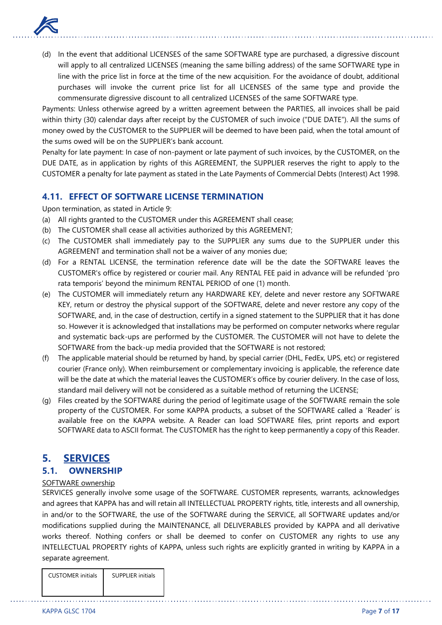

(d) In the event that additional LICENSES of the same SOFTWARE type are purchased, a digressive discount will apply to all centralized LICENSES (meaning the same billing address) of the same SOFTWARE type in line with the price list in force at the time of the new acquisition. For the avoidance of doubt, additional purchases will invoke the current price list for all LICENSES of the same type and provide the commensurate digressive discount to all centralized LICENSES of the same SOFTWARE type.

Payments: Unless otherwise agreed by a written agreement between the PARTIES, all invoices shall be paid within thirty (30) calendar days after receipt by the CUSTOMER of such invoice ("DUE DATE"). All the sums of money owed by the CUSTOMER to the SUPPLIER will be deemed to have been paid, when the total amount of the sums owed will be on the SUPPLIER's bank account.

Penalty for late payment: In case of non-payment or late payment of such invoices, by the CUSTOMER, on the DUE DATE, as in application by rights of this AGREEMENT, the SUPPLIER reserves the right to apply to the CUSTOMER a penalty for late payment as stated in the Late Payments of Commercial Debts (Interest) Act 1998.

### **4.11. EFFECT OF SOFTWARE LICENSE TERMINATION**

Upon termination, as stated in Article 9:

- (a) All rights granted to the CUSTOMER under this AGREEMENT shall cease;
- (b) The CUSTOMER shall cease all activities authorized by this AGREEMENT;
- (c) The CUSTOMER shall immediately pay to the SUPPLIER any sums due to the SUPPLIER under this AGREEMENT and termination shall not be a waiver of any monies due;
- (d) For a RENTAL LICENSE, the termination reference date will be the date the SOFTWARE leaves the CUSTOMER's office by registered or courier mail. Any RENTAL FEE paid in advance will be refunded 'pro rata temporis' beyond the minimum RENTAL PERIOD of one (1) month.
- (e) The CUSTOMER will immediately return any HARDWARE KEY, delete and never restore any SOFTWARE KEY, return or destroy the physical support of the SOFTWARE, delete and never restore any copy of the SOFTWARE, and, in the case of destruction, certify in a signed statement to the SUPPLIER that it has done so. However it is acknowledged that installations may be performed on computer networks where regular and systematic back-ups are performed by the CUSTOMER. The CUSTOMER will not have to delete the SOFTWARE from the back-up media provided that the SOFTWARE is not restored;
- (f) The applicable material should be returned by hand, by special carrier (DHL, FedEx, UPS, etc) or registered courier (France only). When reimbursement or complementary invoicing is applicable, the reference date will be the date at which the material leaves the CUSTOMER's office by courier delivery. In the case of loss, standard mail delivery will not be considered as a suitable method of returning the LICENSE;
- (g) Files created by the SOFTWARE during the period of legitimate usage of the SOFTWARE remain the sole property of the CUSTOMER. For some KAPPA products, a subset of the SOFTWARE called a 'Reader' is available free on the KAPPA website. A Reader can load SOFTWARE files, print reports and export SOFTWARE data to ASCII format. The CUSTOMER has the right to keep permanently a copy of this Reader.

# **5. SERVICES**

### **5.1. OWNERSHIP**

#### SOFTWARE ownership

SERVICES generally involve some usage of the SOFTWARE. CUSTOMER represents, warrants, acknowledges and agrees that KAPPA has and will retain all INTELLECTUAL PROPERTY rights, title, interests and all ownership, in and/or to the SOFTWARE, the use of the SOFTWARE during the SERVICE, all SOFTWARE updates and/or modifications supplied during the MAINTENANCE, all DELIVERABLES provided by KAPPA and all derivative works thereof. Nothing confers or shall be deemed to confer on CUSTOMER any rights to use any INTELLECTUAL PROPERTY rights of KAPPA, unless such rights are explicitly granted in writing by KAPPA in a separate agreement.

| <b>CUSTOMER</b> initials | <b>SUPPLIER initials</b> |
|--------------------------|--------------------------|
|                          |                          |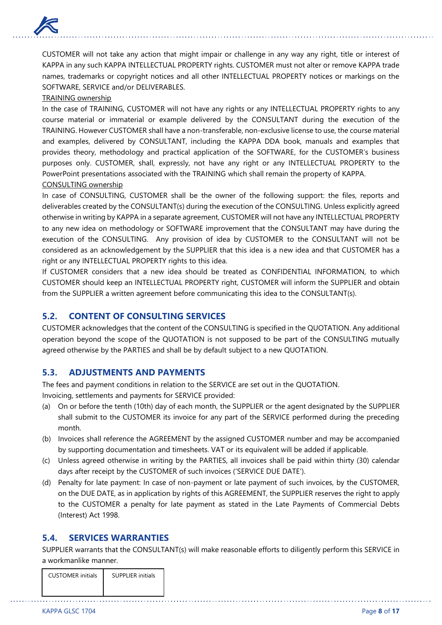

CUSTOMER will not take any action that might impair or challenge in any way any right, title or interest of KAPPA in any such KAPPA INTELLECTUAL PROPERTY rights. CUSTOMER must not alter or remove KAPPA trade names, trademarks or copyright notices and all other INTELLECTUAL PROPERTY notices or markings on the SOFTWARE, SERVICE and/or DELIVERABLES.

#### TRAINING ownership

In the case of TRAINING, CUSTOMER will not have any rights or any INTELLECTUAL PROPERTY rights to any course material or immaterial or example delivered by the CONSULTANT during the execution of the TRAINING. However CUSTOMER shall have a non-transferable, non-exclusive license to use, the course material and examples, delivered by CONSULTANT, including the KAPPA DDA book, manuals and examples that provides theory, methodology and practical application of the SOFTWARE, for the CUSTOMER's business purposes only. CUSTOMER, shall, expressly, not have any right or any INTELLECTUAL PROPERTY to the PowerPoint presentations associated with the TRAINING which shall remain the property of KAPPA.

#### CONSULTING ownership

In case of CONSULTING, CUSTOMER shall be the owner of the following support: the files, reports and deliverables created by the CONSULTANT(s) during the execution of the CONSULTING. Unless explicitly agreed otherwise in writing by KAPPA in a separate agreement, CUSTOMER will not have any INTELLECTUAL PROPERTY to any new idea on methodology or SOFTWARE improvement that the CONSULTANT may have during the execution of the CONSULTING. Any provision of idea by CUSTOMER to the CONSULTANT will not be considered as an acknowledgement by the SUPPLIER that this idea is a new idea and that CUSTOMER has a right or any INTELLECTUAL PROPERTY rights to this idea.

If CUSTOMER considers that a new idea should be treated as CONFIDENTIAL INFORMATION, to which CUSTOMER should keep an INTELLECTUAL PROPERTY right, CUSTOMER will inform the SUPPLIER and obtain from the SUPPLIER a written agreement before communicating this idea to the CONSULTANT(s).

#### **5.2. CONTENT OF CONSULTING SERVICES**

CUSTOMER acknowledges that the content of the CONSULTING is specified in the QUOTATION. Any additional operation beyond the scope of the QUOTATION is not supposed to be part of the CONSULTING mutually agreed otherwise by the PARTIES and shall be by default subject to a new QUOTATION.

### **5.3. ADJUSTMENTS AND PAYMENTS**

The fees and payment conditions in relation to the SERVICE are set out in the QUOTATION. Invoicing, settlements and payments for SERVICE provided:

- (a) On or before the tenth (10th) day of each month, the SUPPLIER or the agent designated by the SUPPLIER shall submit to the CUSTOMER its invoice for any part of the SERVICE performed during the preceding month.
- (b) Invoices shall reference the AGREEMENT by the assigned CUSTOMER number and may be accompanied by supporting documentation and timesheets. VAT or its equivalent will be added if applicable.
- (c) Unless agreed otherwise in writing by the PARTIES, all invoices shall be paid within thirty (30) calendar days after receipt by the CUSTOMER of such invoices ('SERVICE DUE DATE').
- (d) Penalty for late payment: In case of non-payment or late payment of such invoices, by the CUSTOMER, on the DUE DATE, as in application by rights of this AGREEMENT, the SUPPLIER reserves the right to apply to the CUSTOMER a penalty for late payment as stated in the Late Payments of Commercial Debts (Interest) Act 1998.

#### **5.4. SERVICES WARRANTIES**

SUPPLIER warrants that the CONSULTANT(s) will make reasonable efforts to diligently perform this SERVICE in a workmanlike manner.

| <b>CUSTOMER</b> initials | <b>SUPPLIER initials</b> |
|--------------------------|--------------------------|
|                          |                          |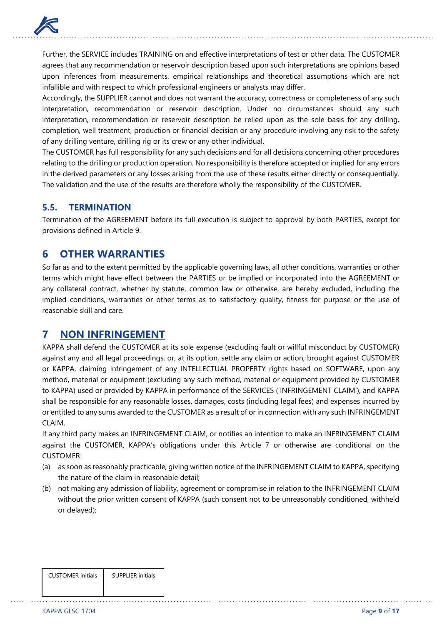

Further, the SERVICE includes TRAINING on and effective interpretations of test or other data. The CUSTOMER agrees that any recommendation or reservoir description based upon such interpretations are opinions based upon inferences from measurements, empirical relationships and theoretical assumptions which are not infallible and with respect to which professional engineers or analysts may differ.

Accordingly, the SUPPLIER cannot and does not warrant the accuracy, correctness or completeness of any such interpretation, recommendation or reservoir description. Under no circumstances should any such interpretation, recommendation or reservoir description be relied upon as the sole basis for any drilling, completion, well treatment, production or financial decision or any procedure involving any risk to the safety of any drilling venture, drilling rig or its crew or any other individual.

The CUSTOMER has full responsibility for any such decisions and for all decisions concerning other procedures relating to the drilling or production operation. No responsibility is therefore accepted or implied for any errors in the derived parameters or any losses arising from the use of these results either directly or consequentially. The validation and the use of the results are therefore wholly the responsibility of the CUSTOMER.

### **5.5. TERMINATION**

Termination of the AGREEMENT before its full execution is subject to approval by both PARTIES, except for provisions defined in Article 9.

# **6 OTHER WARRANTIES**

So far as and to the extent permitted by the applicable governing laws, all other conditions, warranties or other terms which might have effect between the PARTIES or be implied or incorporated into the AGREEMENT or any collateral contract, whether by statute, common law or otherwise, are hereby excluded, including the implied conditions, warranties or other terms as to satisfactory quality, fitness for purpose or the use of reasonable skill and care.

# **7 NON INFRINGEMENT**

KAPPA shall defend the CUSTOMER at its sole expense (excluding fault or willful misconduct by CUSTOMER) against any and all legal proceedings, or, at its option, settle any claim or action, brought against CUSTOMER or KAPPA, claiming infringement of any INTELLECTUAL PROPERTY rights based on SOFTWARE, upon any method, material or equipment (excluding any such method, material or equipment provided by CUSTOMER to KAPPA) used or provided by KAPPA in performance of the SERVICES ('INFRINGEMENT CLAIM'), and KAPPA shall be responsible for any reasonable losses, damages, costs (including legal fees) and expenses incurred by or entitled to any sums awarded to the CUSTOMER as a result of or in connection with any such INFRINGEMENT CLAIM.

If any third party makes an INFRINGEMENT CLAIM, or notifies an intention to make an INFRINGEMENT CLAIM against the CUSTOMER, KAPPA's obligations under this Article 7 or otherwise are conditional on the CUSTOMER:

- (a) as soon as reasonably practicable, giving written notice of the INFRINGEMENT CLAIM to KAPPA, specifying the nature of the claim in reasonable detail;
- (b) not making any admission of liability, agreement or compromise in relation to the INFRINGEMENT CLAIM without the prior written consent of KAPPA (such consent not to be unreasonably conditioned, withheld or delayed);

| <b>CUSTOMER</b> initials | <b>SUPPLIER</b> initials |
|--------------------------|--------------------------|
|--------------------------|--------------------------|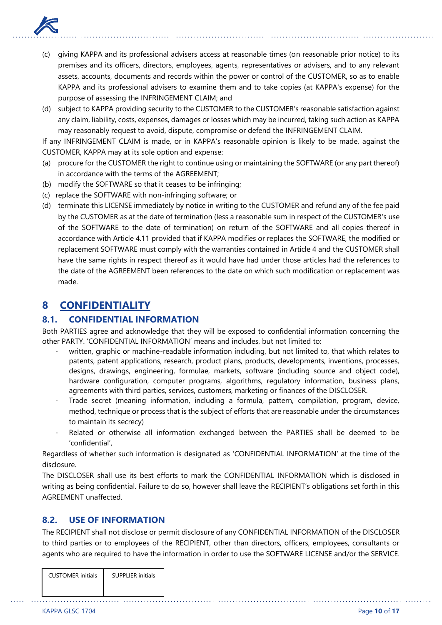

- (c) giving KAPPA and its professional advisers access at reasonable times (on reasonable prior notice) to its premises and its officers, directors, employees, agents, representatives or advisers, and to any relevant assets, accounts, documents and records within the power or control of the CUSTOMER, so as to enable KAPPA and its professional advisers to examine them and to take copies (at KAPPA's expense) for the purpose of assessing the INFRINGEMENT CLAIM; and
- (d) subject to KAPPA providing security to the CUSTOMER to the CUSTOMER's reasonable satisfaction against any claim, liability, costs, expenses, damages or losses which may be incurred, taking such action as KAPPA may reasonably request to avoid, dispute, compromise or defend the INFRINGEMENT CLAIM.

If any INFRINGEMENT CLAIM is made, or in KAPPA's reasonable opinion is likely to be made, against the CUSTOMER, KAPPA may at its sole option and expense:

- (a) procure for the CUSTOMER the right to continue using or maintaining the SOFTWARE (or any part thereof) in accordance with the terms of the AGREEMENT;
- (b) modify the SOFTWARE so that it ceases to be infringing;
- (c) replace the SOFTWARE with non-infringing software; or
- (d) terminate this LICENSE immediately by notice in writing to the CUSTOMER and refund any of the fee paid by the CUSTOMER as at the date of termination (less a reasonable sum in respect of the CUSTOMER's use of the SOFTWARE to the date of termination) on return of the SOFTWARE and all copies thereof in accordance with Article 4.11 provided that if KAPPA modifies or replaces the SOFTWARE, the modified or replacement SOFTWARE must comply with the warranties contained in Article 4 and the CUSTOMER shall have the same rights in respect thereof as it would have had under those articles had the references to the date of the AGREEMENT been references to the date on which such modification or replacement was made.

# **8 CONFIDENTIALITY**

### **8.1. CONFIDENTIAL INFORMATION**

Both PARTIES agree and acknowledge that they will be exposed to confidential information concerning the other PARTY. 'CONFIDENTIAL INFORMATION' means and includes, but not limited to:

- written, graphic or machine-readable information including, but not limited to, that which relates to patents, patent applications, research, product plans, products, developments, inventions, processes, designs, drawings, engineering, formulae, markets, software (including source and object code), hardware configuration, computer programs, algorithms, regulatory information, business plans, agreements with third parties, services, customers, marketing or finances of the DISCLOSER.
- Trade secret (meaning information, including a formula, pattern, compilation, program, device, method, technique or process that is the subject of efforts that are reasonable under the circumstances to maintain its secrecy)
- Related or otherwise all information exchanged between the PARTIES shall be deemed to be 'confidential',

Regardless of whether such information is designated as 'CONFIDENTIAL INFORMATION' at the time of the disclosure.

The DISCLOSER shall use its best efforts to mark the CONFIDENTIAL INFORMATION which is disclosed in writing as being confidential. Failure to do so, however shall leave the RECIPIENT's obligations set forth in this AGREEMENT unaffected.

### **8.2. USE OF INFORMATION**

The RECIPIENT shall not disclose or permit disclosure of any CONFIDENTIAL INFORMATION of the DISCLOSER to third parties or to employees of the RECIPIENT, other than directors, officers, employees, consultants or agents who are required to have the information in order to use the SOFTWARE LICENSE and/or the SERVICE.

| <b>CUSTOMER</b> initials | <b>SUPPLIER initials</b> |
|--------------------------|--------------------------|
|                          |                          |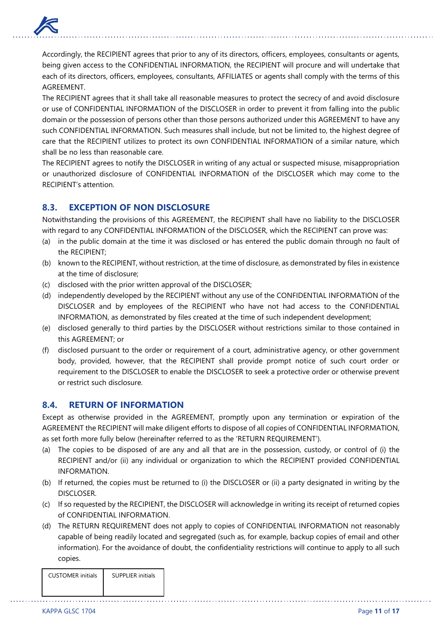

Accordingly, the RECIPIENT agrees that prior to any of its directors, officers, employees, consultants or agents, being given access to the CONFIDENTIAL INFORMATION, the RECIPIENT will procure and will undertake that each of its directors, officers, employees, consultants, AFFILIATES or agents shall comply with the terms of this AGREEMENT.

The RECIPIENT agrees that it shall take all reasonable measures to protect the secrecy of and avoid disclosure or use of CONFIDENTIAL INFORMATION of the DISCLOSER in order to prevent it from falling into the public domain or the possession of persons other than those persons authorized under this AGREEMENT to have any such CONFIDENTIAL INFORMATION. Such measures shall include, but not be limited to, the highest degree of care that the RECIPIENT utilizes to protect its own CONFIDENTIAL INFORMATION of a similar nature, which shall be no less than reasonable care.

The RECIPIENT agrees to notify the DISCLOSER in writing of any actual or suspected misuse, misappropriation or unauthorized disclosure of CONFIDENTIAL INFORMATION of the DISCLOSER which may come to the RECIPIENT's attention.

### **8.3. EXCEPTION OF NON DISCLOSURE**

Notwithstanding the provisions of this AGREEMENT, the RECIPIENT shall have no liability to the DISCLOSER with regard to any CONFIDENTIAL INFORMATION of the DISCLOSER, which the RECIPIENT can prove was:

- (a) in the public domain at the time it was disclosed or has entered the public domain through no fault of the RECIPIENT;
- (b) known to the RECIPIENT, without restriction, at the time of disclosure, as demonstrated by files in existence at the time of disclosure;
- (c) disclosed with the prior written approval of the DISCLOSER;
- (d) independently developed by the RECIPIENT without any use of the CONFIDENTIAL INFORMATION of the DISCLOSER and by employees of the RECIPIENT who have not had access to the CONFIDENTIAL INFORMATION, as demonstrated by files created at the time of such independent development;
- (e) disclosed generally to third parties by the DISCLOSER without restrictions similar to those contained in this AGREEMENT; or
- (f) disclosed pursuant to the order or requirement of a court, administrative agency, or other government body, provided, however, that the RECIPIENT shall provide prompt notice of such court order or requirement to the DISCLOSER to enable the DISCLOSER to seek a protective order or otherwise prevent or restrict such disclosure.

### **8.4. RETURN OF INFORMATION**

Except as otherwise provided in the AGREEMENT, promptly upon any termination or expiration of the AGREEMENT the RECIPIENT will make diligent efforts to dispose of all copies of CONFIDENTIAL INFORMATION, as set forth more fully below (hereinafter referred to as the 'RETURN REQUIREMENT').

- (a) The copies to be disposed of are any and all that are in the possession, custody, or control of (i) the RECIPIENT and/or (ii) any individual or organization to which the RECIPIENT provided CONFIDENTIAL INFORMATION.
- (b) If returned, the copies must be returned to (i) the DISCLOSER or (ii) a party designated in writing by the DISCLOSER.
- (c) If so requested by the RECIPIENT, the DISCLOSER will acknowledge in writing its receipt of returned copies of CONFIDENTIAL INFORMATION.
- (d) The RETURN REQUIREMENT does not apply to copies of CONFIDENTIAL INFORMATION not reasonably capable of being readily located and segregated (such as, for example, backup copies of email and other information). For the avoidance of doubt, the confidentiality restrictions will continue to apply to all such copies.

| <b>CUSTOMER</b> initials | <b>SUPPLIER initials</b> |
|--------------------------|--------------------------|
|                          |                          |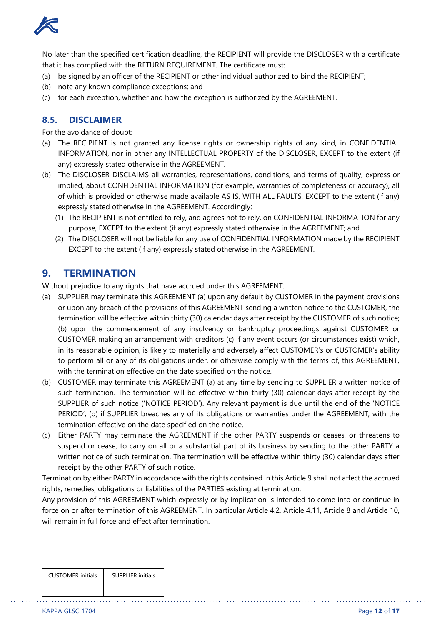

No later than the specified certification deadline, the RECIPIENT will provide the DISCLOSER with a certificate that it has complied with the RETURN REQUIREMENT. The certificate must:

- (a) be signed by an officer of the RECIPIENT or other individual authorized to bind the RECIPIENT;
- (b) note any known compliance exceptions; and
- (c) for each exception, whether and how the exception is authorized by the AGREEMENT.

#### **8.5. DISCLAIMER**

For the avoidance of doubt:

- (a) The RECIPIENT is not granted any license rights or ownership rights of any kind, in CONFIDENTIAL INFORMATION, nor in other any INTELLECTUAL PROPERTY of the DISCLOSER, EXCEPT to the extent (if any) expressly stated otherwise in the AGREEMENT.
- (b) The DISCLOSER DISCLAIMS all warranties, representations, conditions, and terms of quality, express or implied, about CONFIDENTIAL INFORMATION (for example, warranties of completeness or accuracy), all of which is provided or otherwise made available AS IS, WITH ALL FAULTS, EXCEPT to the extent (if any) expressly stated otherwise in the AGREEMENT. Accordingly:
	- (1) The RECIPIENT is not entitled to rely, and agrees not to rely, on CONFIDENTIAL INFORMATION for any purpose, EXCEPT to the extent (if any) expressly stated otherwise in the AGREEMENT; and
	- (2) The DISCLOSER will not be liable for any use of CONFIDENTIAL INFORMATION made by the RECIPIENT EXCEPT to the extent (if any) expressly stated otherwise in the AGREEMENT.

# **9. TERMINATION**

Without prejudice to any rights that have accrued under this AGREEMENT:

- (a) SUPPLIER may terminate this AGREEMENT (a) upon any default by CUSTOMER in the payment provisions or upon any breach of the provisions of this AGREEMENT sending a written notice to the CUSTOMER, the termination will be effective within thirty (30) calendar days after receipt by the CUSTOMER of such notice; (b) upon the commencement of any insolvency or bankruptcy proceedings against CUSTOMER or CUSTOMER making an arrangement with creditors (c) if any event occurs (or circumstances exist) which, in its reasonable opinion, is likely to materially and adversely affect CUSTOMER's or CUSTOMER's ability to perform all or any of its obligations under, or otherwise comply with the terms of, this AGREEMENT, with the termination effective on the date specified on the notice.
- (b) CUSTOMER may terminate this AGREEMENT (a) at any time by sending to SUPPLIER a written notice of such termination. The termination will be effective within thirty (30) calendar days after receipt by the SUPPLIER of such notice ('NOTICE PERIOD'). Any relevant payment is due until the end of the 'NOTICE PERIOD'; (b) if SUPPLIER breaches any of its obligations or warranties under the AGREEMENT, with the termination effective on the date specified on the notice.
- (c) Either PARTY may terminate the AGREEMENT if the other PARTY suspends or ceases, or threatens to suspend or cease, to carry on all or a substantial part of its business by sending to the other PARTY a written notice of such termination. The termination will be effective within thirty (30) calendar days after receipt by the other PARTY of such notice.

Termination by either PARTY in accordance with the rights contained in this Article 9 shall not affect the accrued rights, remedies, obligations or liabilities of the PARTIES existing at termination.

Any provision of this AGREEMENT which expressly or by implication is intended to come into or continue in force on or after termination of this AGREEMENT. In particular Article 4.2, Article 4.11, Article 8 and Article 10, will remain in full force and effect after termination.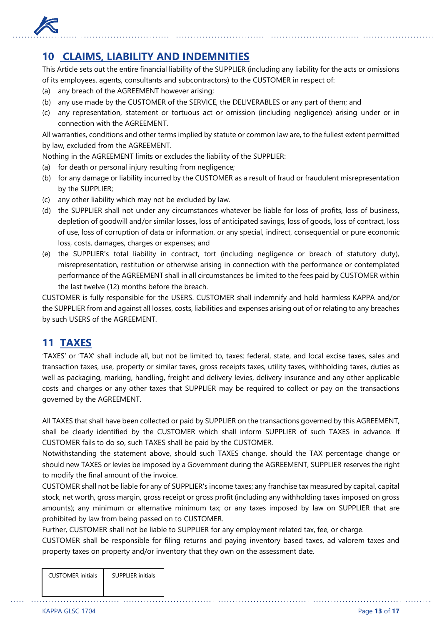

# **10 CLAIMS, LIABILITY AND INDEMNITIES**

This Article sets out the entire financial liability of the SUPPLIER (including any liability for the acts or omissions of its employees, agents, consultants and subcontractors) to the CUSTOMER in respect of:

- (a) any breach of the AGREEMENT however arising;
- (b) any use made by the CUSTOMER of the SERVICE, the DELIVERABLES or any part of them; and
- (c) any representation, statement or tortuous act or omission (including negligence) arising under or in connection with the AGREEMENT.

All warranties, conditions and other terms implied by statute or common law are, to the fullest extent permitted by law, excluded from the AGREEMENT.

Nothing in the AGREEMENT limits or excludes the liability of the SUPPLIER:

- (a) for death or personal injury resulting from negligence;
- (b) for any damage or liability incurred by the CUSTOMER as a result of fraud or fraudulent misrepresentation by the SUPPLIER;
- (c) any other liability which may not be excluded by law.
- (d) the SUPPLIER shall not under any circumstances whatever be liable for loss of profits, loss of business, depletion of goodwill and/or similar losses, loss of anticipated savings, loss of goods, loss of contract, loss of use, loss of corruption of data or information, or any special, indirect, consequential or pure economic loss, costs, damages, charges or expenses; and
- (e) the SUPPLIER's total liability in contract, tort (including negligence or breach of statutory duty), misrepresentation, restitution or otherwise arising in connection with the performance or contemplated performance of the AGREEMENT shall in all circumstances be limited to the fees paid by CUSTOMER within the last twelve (12) months before the breach.

CUSTOMER is fully responsible for the USERS. CUSTOMER shall indemnify and hold harmless KAPPA and/or the SUPPLIER from and against all losses, costs, liabilities and expenses arising out of or relating to any breaches by such USERS of the AGREEMENT.

# **11 TAXES**

'TAXES' or 'TAX' shall include all, but not be limited to, taxes: federal, state, and local excise taxes, sales and transaction taxes, use, property or similar taxes, gross receipts taxes, utility taxes, withholding taxes, duties as well as packaging, marking, handling, freight and delivery levies, delivery insurance and any other applicable costs and charges or any other taxes that SUPPLIER may be required to collect or pay on the transactions governed by the AGREEMENT.

All TAXES that shall have been collected or paid by SUPPLIER on the transactions governed by this AGREEMENT, shall be clearly identified by the CUSTOMER which shall inform SUPPLIER of such TAXES in advance. If CUSTOMER fails to do so, such TAXES shall be paid by the CUSTOMER.

Notwithstanding the statement above, should such TAXES change, should the TAX percentage change or should new TAXES or levies be imposed by a Government during the AGREEMENT, SUPPLIER reserves the right to modify the final amount of the invoice.

CUSTOMER shall not be liable for any of SUPPLIER's income taxes; any franchise tax measured by capital, capital stock, net worth, gross margin, gross receipt or gross profit (including any withholding taxes imposed on gross amounts); any minimum or alternative minimum tax; or any taxes imposed by law on SUPPLIER that are prohibited by law from being passed on to CUSTOMER.

Further, CUSTOMER shall not be liable to SUPPLIER for any employment related tax, fee, or charge.

CUSTOMER shall be responsible for filing returns and paying inventory based taxes, ad valorem taxes and property taxes on property and/or inventory that they own on the assessment date.

| <b>CUSTOMER</b> initials | <b>SUPPLIER initials</b> |
|--------------------------|--------------------------|
|                          |                          |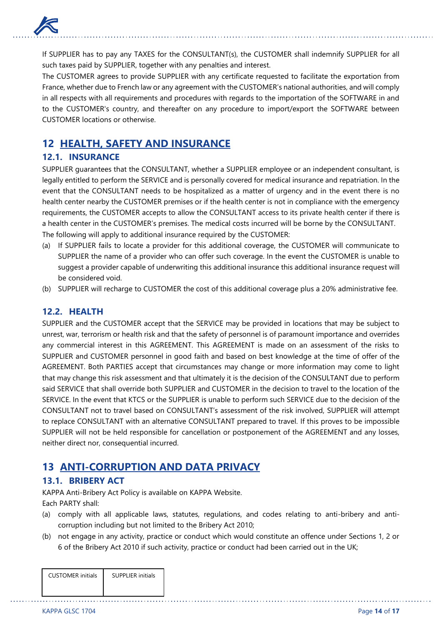

If SUPPLIER has to pay any TAXES for the CONSULTANT(s), the CUSTOMER shall indemnify SUPPLIER for all such taxes paid by SUPPLIER, together with any penalties and interest.

The CUSTOMER agrees to provide SUPPLIER with any certificate requested to facilitate the exportation from France, whether due to French law or any agreement with the CUSTOMER's national authorities, and will comply in all respects with all requirements and procedures with regards to the importation of the SOFTWARE in and to the CUSTOMER's country, and thereafter on any procedure to import/export the SOFTWARE between CUSTOMER locations or otherwise.

# **12 HEALTH, SAFETY AND INSURANCE**

## **12.1. INSURANCE**

SUPPLIER guarantees that the CONSULTANT, whether a SUPPLIER employee or an independent consultant, is legally entitled to perform the SERVICE and is personally covered for medical insurance and repatriation. In the event that the CONSULTANT needs to be hospitalized as a matter of urgency and in the event there is no health center nearby the CUSTOMER premises or if the health center is not in compliance with the emergency requirements, the CUSTOMER accepts to allow the CONSULTANT access to its private health center if there is a health center in the CUSTOMER's premises. The medical costs incurred will be borne by the CONSULTANT. The following will apply to additional insurance required by the CUSTOMER:

- (a) If SUPPLIER fails to locate a provider for this additional coverage, the CUSTOMER will communicate to SUPPLIER the name of a provider who can offer such coverage. In the event the CUSTOMER is unable to suggest a provider capable of underwriting this additional insurance this additional insurance request will be considered void.
- (b) SUPPLIER will recharge to CUSTOMER the cost of this additional coverage plus a 20% administrative fee.

### **12.2. HEALTH**

SUPPLIER and the CUSTOMER accept that the SERVICE may be provided in locations that may be subject to unrest, war, terrorism or health risk and that the safety of personnel is of paramount importance and overrides any commercial interest in this AGREEMENT. This AGREEMENT is made on an assessment of the risks to SUPPLIER and CUSTOMER personnel in good faith and based on best knowledge at the time of offer of the AGREEMENT. Both PARTIES accept that circumstances may change or more information may come to light that may change this risk assessment and that ultimately it is the decision of the CONSULTANT due to perform said SERVICE that shall override both SUPPLIER and CUSTOMER in the decision to travel to the location of the SERVICE. In the event that KTCS or the SUPPLIER is unable to perform such SERVICE due to the decision of the CONSULTANT not to travel based on CONSULTANT's assessment of the risk involved, SUPPLIER will attempt to replace CONSULTANT with an alternative CONSULTANT prepared to travel. If this proves to be impossible SUPPLIER will not be held responsible for cancellation or postponement of the AGREEMENT and any losses, neither direct nor, consequential incurred.

# **13 ANTI-CORRUPTION AND DATA PRIVACY**

### **13.1. BRIBERY ACT**

KAPPA Anti-Bribery Act Policy is available on KAPPA Website. Each PARTY shall:

- (a) comply with all applicable laws, statutes, regulations, and codes relating to anti-bribery and anticorruption including but not limited to the Bribery Act 2010;
- (b) not engage in any activity, practice or conduct which would constitute an offence under Sections 1, 2 or 6 of the Bribery Act 2010 if such activity, practice or conduct had been carried out in the UK;

| <b>CUSTOMER</b> initials | <b>SUPPLIER initials</b> |
|--------------------------|--------------------------|
|                          |                          |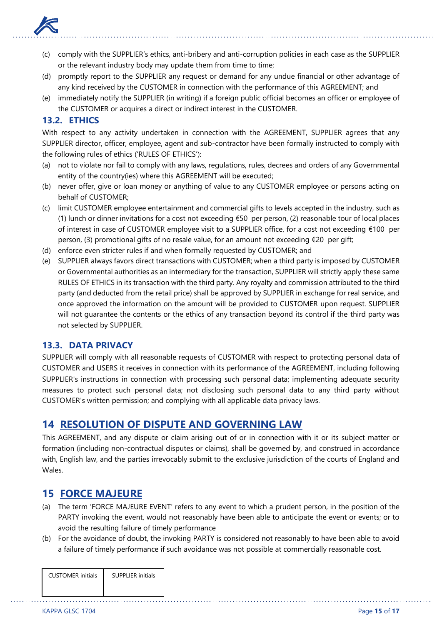

- (c) comply with the SUPPLIER's ethics, anti-bribery and anti-corruption policies in each case as the SUPPLIER or the relevant industry body may update them from time to time;
- (d) promptly report to the SUPPLIER any request or demand for any undue financial or other advantage of any kind received by the CUSTOMER in connection with the performance of this AGREEMENT; and
- (e) immediately notify the SUPPLIER (in writing) if a foreign public official becomes an officer or employee of the CUSTOMER or acquires a direct or indirect interest in the CUSTOMER.

### **13.2. ETHICS**

With respect to any activity undertaken in connection with the AGREEMENT, SUPPLIER agrees that any SUPPLIER director, officer, employee, agent and sub-contractor have been formally instructed to comply with the following rules of ethics ('RULES OF ETHICS'):

- (a) not to violate nor fail to comply with any laws, regulations, rules, decrees and orders of any Governmental entity of the country(ies) where this AGREEMENT will be executed;
- (b) never offer, give or loan money or anything of value to any CUSTOMER employee or persons acting on behalf of CUSTOMER;
- (c) limit CUSTOMER employee entertainment and commercial gifts to levels accepted in the industry, such as (1) lunch or dinner invitations for a cost not exceeding €50 per person, (2) reasonable tour of local places of interest in case of CUSTOMER employee visit to a SUPPLIER office, for a cost not exceeding €100 per person, (3) promotional gifts of no resale value, for an amount not exceeding €20 per gift;
- (d) enforce even stricter rules if and when formally requested by CUSTOMER; and
- (e) SUPPLIER always favors direct transactions with CUSTOMER; when a third party is imposed by CUSTOMER or Governmental authorities as an intermediary for the transaction, SUPPLIER will strictly apply these same RULES OF ETHICS in its transaction with the third party. Any royalty and commission attributed to the third party (and deducted from the retail price) shall be approved by SUPPLIER in exchange for real service, and once approved the information on the amount will be provided to CUSTOMER upon request. SUPPLIER will not guarantee the contents or the ethics of any transaction beyond its control if the third party was not selected by SUPPLIER.

### **13.3. DATA PRIVACY**

SUPPLIER will comply with all reasonable requests of CUSTOMER with respect to protecting personal data of CUSTOMER and USERS it receives in connection with its performance of the AGREEMENT, including following SUPPLIER's instructions in connection with processing such personal data; implementing adequate security measures to protect such personal data; not disclosing such personal data to any third party without CUSTOMER's written permission; and complying with all applicable data privacy laws.

# **14 RESOLUTION OF DISPUTE AND GOVERNING LAW**

This AGREEMENT, and any dispute or claim arising out of or in connection with it or its subject matter or formation (including non-contractual disputes or claims), shall be governed by, and construed in accordance with, English law, and the parties irrevocably submit to the exclusive jurisdiction of the courts of England and Wales.

### **15 FORCE MAJEURE**

- (a) The term 'FORCE MAJEURE EVENT' refers to any event to which a prudent person, in the position of the PARTY invoking the event, would not reasonably have been able to anticipate the event or events; or to avoid the resulting failure of timely performance
- (b) For the avoidance of doubt, the invoking PARTY is considered not reasonably to have been able to avoid a failure of timely performance if such avoidance was not possible at commercially reasonable cost.

| <b>CUSTOMER</b> initials | <b>SUPPLIER initials</b> |
|--------------------------|--------------------------|
|                          |                          |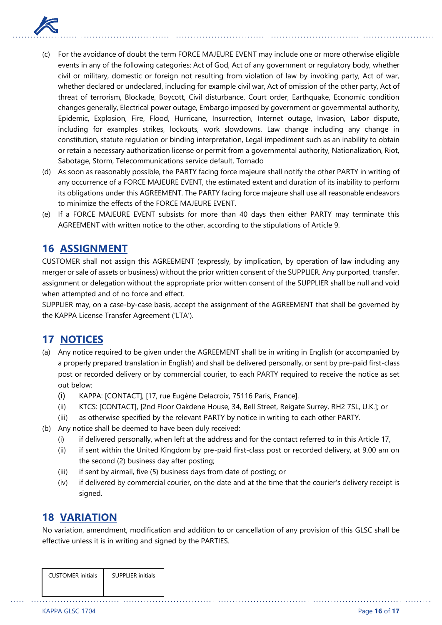

- (c) For the avoidance of doubt the term FORCE MAJEURE EVENT may include one or more otherwise eligible events in any of the following categories: Act of God, Act of any government or regulatory body, whether civil or military, domestic or foreign not resulting from violation of law by invoking party, Act of war, whether declared or undeclared, including for example civil war, Act of omission of the other party, Act of threat of terrorism, Blockade, Boycott, Civil disturbance, Court order, Earthquake, Economic condition changes generally, Electrical power outage, Embargo imposed by government or governmental authority, Epidemic, Explosion, Fire, Flood, Hurricane, Insurrection, Internet outage, Invasion, Labor dispute, including for examples strikes, lockouts, work slowdowns, Law change including any change in constitution, statute regulation or binding interpretation, Legal impediment such as an inability to obtain or retain a necessary authorization license or permit from a governmental authority, Nationalization, Riot, Sabotage, Storm, Telecommunications service default, Tornado
- (d) As soon as reasonably possible, the PARTY facing force majeure shall notify the other PARTY in writing of any occurrence of a FORCE MAJEURE EVENT, the estimated extent and duration of its inability to perform its obligations under this AGREEMENT. The PARTY facing force majeure shall use all reasonable endeavors to minimize the effects of the FORCE MAJEURE EVENT.
- (e) If a FORCE MAJEURE EVENT subsists for more than 40 days then either PARTY may terminate this AGREEMENT with written notice to the other, according to the stipulations of Article 9.

# **16 ASSIGNMENT**

CUSTOMER shall not assign this AGREEMENT (expressly, by implication, by operation of law including any merger or sale of assets or business) without the prior written consent of the SUPPLIER. Any purported, transfer, assignment or delegation without the appropriate prior written consent of the SUPPLIER shall be null and void when attempted and of no force and effect.

SUPPLIER may, on a case-by-case basis, accept the assignment of the AGREEMENT that shall be governed by the KAPPA License Transfer Agreement ('LTA').

# **17 NOTICES**

- (a) Any notice required to be given under the AGREEMENT shall be in writing in English (or accompanied by a properly prepared translation in English) and shall be delivered personally, or sent by pre-paid first-class post or recorded delivery or by commercial courier, to each PARTY required to receive the notice as set out below:
	- (i) KAPPA: [CONTACT], [17, rue Eugène Delacroix, 75116 Paris, France].
	- (ii) KTCS: [CONTACT], [2nd Floor Oakdene House, 34, Bell Street, Reigate Surrey, RH2 7SL, U.K.]; or
	- (iii) as otherwise specified by the relevant PARTY by notice in writing to each other PARTY.
- (b) Any notice shall be deemed to have been duly received:
	- (i) if delivered personally, when left at the address and for the contact referred to in this Article 17,
	- (ii) if sent within the United Kingdom by pre-paid first-class post or recorded delivery, at 9.00 am on the second (2) business day after posting;
	- (iii) if sent by airmail, five (5) business days from date of posting; or
	- (iv) if delivered by commercial courier, on the date and at the time that the courier's delivery receipt is signed.

# **18 VARIATION**

No variation, amendment, modification and addition to or cancellation of any provision of this GLSC shall be effective unless it is in writing and signed by the PARTIES.

| <b>CUSTOMER</b> initials | SUPPLIFR initials |
|--------------------------|-------------------|
|                          |                   |